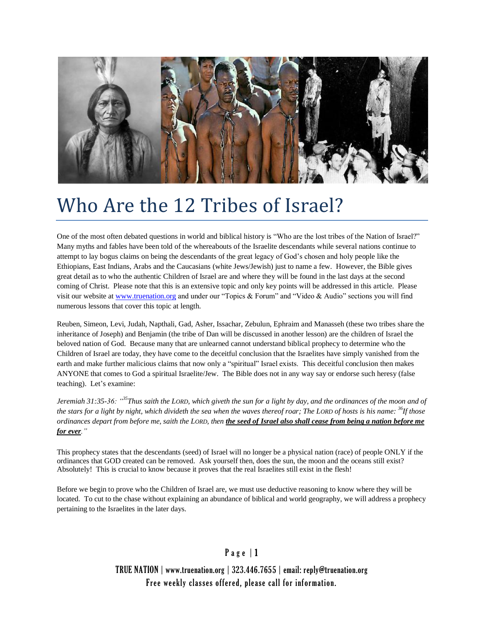

# Who Are the 12 Tribes of Israel?

One of the most often debated questions in world and biblical history is "Who are the lost tribes of the Nation of Israel?" Many myths and fables have been told of the whereabouts of the Israelite descendants while several nations continue to attempt to lay bogus claims on being the descendants of the great legacy of God's chosen and holy people like the Ethiopians, East Indians, Arabs and the Caucasians (white Jews/Jewish) just to name a few. However, the Bible gives great detail as to who the authentic Children of Israel are and where they will be found in the last days at the second coming of Christ. Please note that this is an extensive topic and only key points will be addressed in this article. Please visit our website at [www.truenation.org](http://www.truenation.org/) and under our "Topics & Forum" and "Video & Audio" sections you will find numerous lessons that cover this topic at length.

Reuben, Simeon, Levi, Judah, Napthali, Gad, Asher, Issachar, Zebulun, Ephraim and Manasseh (these two tribes share the inheritance of Joseph) and Benjamin (the tribe of Dan will be discussed in another lesson) are the children of Israel the beloved nation of God. Because many that are unlearned cannot understand biblical prophecy to determine who the Children of Israel are today, they have come to the deceitful conclusion that the Israelites have simply vanished from the earth and make further malicious claims that now only a "spiritual" Israel exists. This deceitful conclusion then makes ANYONE that comes to God a spiritual Israelite/Jew. The Bible does not in any way say or endorse such heresy (false teaching). Let's examine:

*Jeremiah 31:35-36: "<sup>35</sup>Thus saith the LORD, which giveth the sun for a light by day, and the ordinances of the moon and of the stars for a light by night, which divideth the sea when the waves thereof roar; The LORD of hosts is his name: <sup>36</sup>If those ordinances depart from before me, saith the LORD, then the seed of Israel also shall cease from being a nation before me for ever."*

This prophecy states that the descendants (seed) of Israel will no longer be a physical nation (race) of people ONLY if the ordinances that GOD created can be removed. Ask yourself then, does the sun, the moon and the oceans still exist? Absolutely! This is crucial to know because it proves that the real Israelites still exist in the flesh!

Before we begin to prove who the Children of Israel are, we must use deductive reasoning to know where they will be located. To cut to the chase without explaining an abundance of biblical and world geography, we will address a prophecy pertaining to the Israelites in the later days.

# Page | 1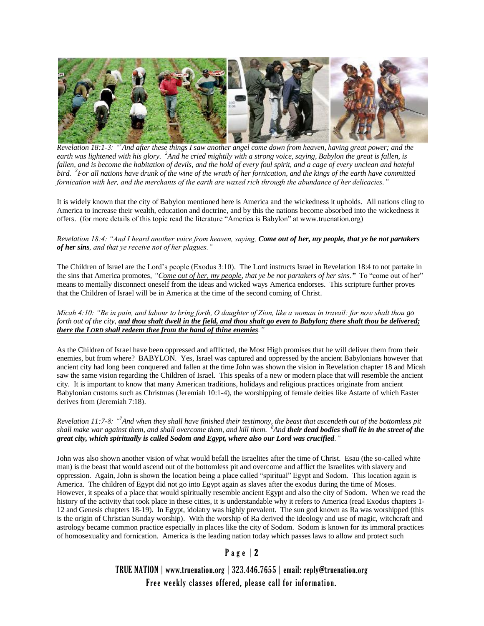

*Revelation 18:1-3: "<sup>1</sup> And after these things I saw another angel come down from heaven, having great power; and the*  earth was lightened with his glory. <sup>2</sup> And he cried mightily with a strong voice, saying, Babylon the great is fallen, is fallen, and is become the habitation of devils, and the hold of every foul spirit, and a cage of every unclean and hateful *bird. <sup>3</sup> For all nations have drunk of the wine of the wrath of her fornication, and the kings of the earth have committed fornication with her, and the merchants of the earth are waxed rich through the abundance of her delicacies."*

It is widely known that the city of Babylon mentioned here is America and the wickedness it upholds. All nations cling to America to increase their wealth, education and doctrine, and by this the nations become absorbed into the wickedness it offers. (for more details of this topic read the literature "America is Babylon" at www.truenation.org)

#### *Revelation 18:4: "And I heard another voice from heaven, saying, Come out of her, my people, that ye be not partakers of her sins, and that ye receive not of her plagues."*

The Children of Israel are the Lord's people (Exodus 3:10). The Lord instructs Israel in Revelation 18:4 to not partake in the sins that America promotes, *"Come out of her, my people, that ye be not partakers of her sins."* To "come out of her" means to mentally disconnect oneself from the ideas and wicked ways America endorses. This scripture further proves that the Children of Israel will be in America at the time of the second coming of Christ.

*Micah 4:10: "Be in pain, and labour to bring forth, O daughter of Zion, like a woman in travail: for now shalt thou go forth out of the city, and thou shalt dwell in the field, and thou shalt go even to Babylon; there shalt thou be delivered; there the LORD shall redeem thee from the hand of thine enemies."*

As the Children of Israel have been oppressed and afflicted, the Most High promises that he will deliver them from their enemies, but from where? BABYLON. Yes, Israel was captured and oppressed by the ancient Babylonians however that ancient city had long been conquered and fallen at the time John was shown the vision in Revelation chapter 18 and Micah saw the same vision regarding the Children of Israel. This speaks of a new or modern place that will resemble the ancient city. It is important to know that many American traditions, holidays and religious practices originate from ancient Babylonian customs such as Christmas (Jeremiah 10:1-4), the worshipping of female deities like Astarte of which Easter derives from (Jeremiah 7:18).

*Revelation 11:7-8: "<sup>7</sup> And when they shall have finished their testimony, the beast that ascendeth out of the bottomless pit shall make war against them, and shall overcome them, and kill them. <sup>8</sup> And their dead bodies shall lie in the street of the great city, which spiritually is called Sodom and Egypt, where also our Lord was crucified."*

John was also shown another vision of what would befall the Israelites after the time of Christ. Esau (the so-called white man) is the beast that would ascend out of the bottomless pit and overcome and afflict the Israelites with slavery and oppression. Again, John is shown the location being a place called "spiritual" Egypt and Sodom. This location again is America. The children of Egypt did not go into Egypt again as slaves after the exodus during the time of Moses. However, it speaks of a place that would spiritually resemble ancient Egypt and also the city of Sodom. When we read the history of the activity that took place in these cities, it is understandable why it refers to America (read Exodus chapters 1- 12 and Genesis chapters 18-19). In Egypt, idolatry was highly prevalent. The sun god known as Ra was worshipped (this is the origin of Christian Sunday worship). With the worship of Ra derived the ideology and use of magic, witchcraft and astrology became common practice especially in places like the city of Sodom. Sodom is known for its immoral practices of homosexuality and fornication. America is the leading nation today which passes laws to allow and protect such

# P a g e | 2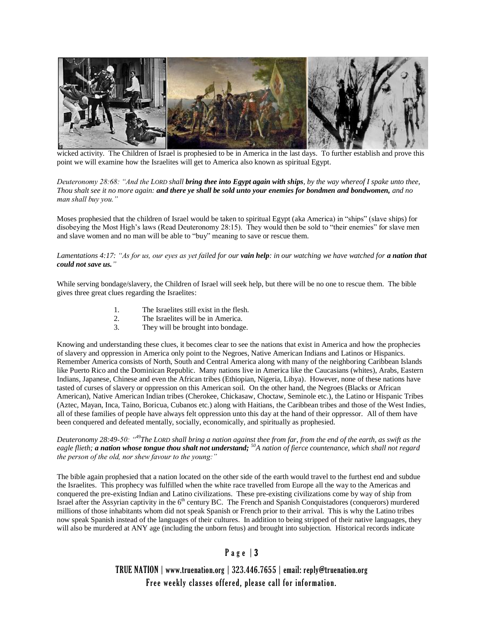

wicked activity. The Children of Israel is prophesied to be in America in the last days. To further establish and prove this point we will examine how the Israelites will get to America also known as spiritual Egypt.

*Deuteronomy 28:68: "And the LORD shall bring thee into Egypt again with ships, by the way whereof I spake unto thee, Thou shalt see it no more again: and there ye shall be sold unto your enemies for bondmen and bondwomen, and no man shall buy you."*

Moses prophesied that the children of Israel would be taken to spiritual Egypt (aka America) in "ships" (slave ships) for disobeying the Most High's laws (Read Deuteronomy 28:15). They would then be sold to "their enemies" for slave men and slave women and no man will be able to "buy" meaning to save or rescue them.

#### *Lamentations 4:17: "As for us, our eyes as yet failed for our vain help: in our watching we have watched for a nation that could not save us."*

While serving bondage/slavery, the Children of Israel will seek help, but there will be no one to rescue them. The bible gives three great clues regarding the Israelites:

- 1. The Israelites still exist in the flesh.
- 2. The Israelites will be in America.<br>
They will be brought into bondage
- They will be brought into bondage.

Knowing and understanding these clues, it becomes clear to see the nations that exist in America and how the prophecies of slavery and oppression in America only point to the Negroes, Native American Indians and Latinos or Hispanics. Remember America consists of North, South and Central America along with many of the neighboring Caribbean Islands like Puerto Rico and the Dominican Republic. Many nations live in America like the Caucasians (whites), Arabs, Eastern Indians, Japanese, Chinese and even the African tribes (Ethiopian, Nigeria, Libya). However, none of these nations have tasted of curses of slavery or oppression on this American soil. On the other hand, the Negroes (Blacks or African American), Native American Indian tribes (Cherokee, Chickasaw, Choctaw, Seminole etc.), the Latino or Hispanic Tribes (Aztec, Mayan, Inca, Taino, Boricua, Cubanos etc.) along with Haitians, the Caribbean tribes and those of the West Indies, all of these families of people have always felt oppression unto this day at the hand of their oppressor. All of them have been conquered and defeated mentally, socially, economically, and spiritually as prophesied.

*Deuteronomy 28:49-50: "<sup>49</sup>The LORD shall bring a nation against thee from far, from the end of the earth, as swift as the eagle flieth; a nation whose tongue thou shalt not understand; <sup>50</sup>A nation of fierce countenance, which shall not regard the person of the old, nor shew favour to the young:"*

The bible again prophesied that a nation located on the other side of the earth would travel to the furthest end and subdue the Israelites. This prophecy was fulfilled when the white race travelled from Europe all the way to the Americas and conquered the pre-existing Indian and Latino civilizations. These pre-existing civilizations come by way of ship from Israel after the Assyrian captivity in the 6<sup>th</sup> century BC. The French and Spanish Conquistadores (conquerors) murdered millions of those inhabitants whom did not speak Spanish or French prior to their arrival. This is why the Latino tribes now speak Spanish instead of the languages of their cultures. In addition to being stripped of their native languages, they will also be murdered at ANY age (including the unborn fetus) and brought into subjection. Historical records indicate

# P a g e | 3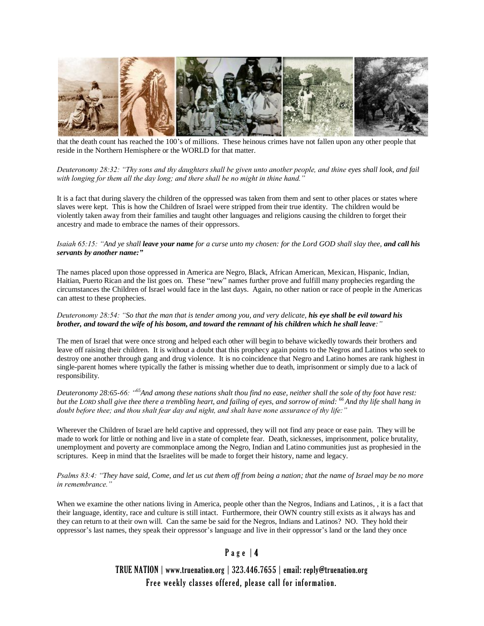

that the death count has reached the 100's of millions. These heinous crimes have not fallen upon any other people that reside in the Northern Hemisphere or the WORLD for that matter.

#### *Deuteronomy 28:32: "Thy sons and thy daughters shall be given unto another people, and thine eyes shall look, and fail with longing for them all the day long; and there shall be no might in thine hand."*

It is a fact that during slavery the children of the oppressed was taken from them and sent to other places or states where slaves were kept. This is how the Children of Israel were stripped from their true identity. The children would be violently taken away from their families and taught other languages and religions causing the children to forget their ancestry and made to embrace the names of their oppressors.

#### *Isaiah 65:15: "And ye shall leave your name for a curse unto my chosen: for the Lord GOD shall slay thee, and call his servants by another name:"*

The names placed upon those oppressed in America are Negro, Black, African American, Mexican, Hispanic, Indian, Haitian, Puerto Rican and the list goes on. These "new" names further prove and fulfill many prophecies regarding the circumstances the Children of Israel would face in the last days. Again, no other nation or race of people in the Americas can attest to these prophecies.

#### *Deuteronomy 28:54: "So that the man that is tender among you, and very delicate, his eye shall be evil toward his brother, and toward the wife of his bosom, and toward the remnant of his children which he shall leave:"*

The men of Israel that were once strong and helped each other will begin to behave wickedly towards their brothers and leave off raising their children. It is without a doubt that this prophecy again points to the Negros and Latinos who seek to destroy one another through gang and drug violence. It is no coincidence that Negro and Latino homes are rank highest in single-parent homes where typically the father is missing whether due to death, imprisonment or simply due to a lack of responsibility.

*Deuteronomy 28:65-66: "<sup>65</sup>And among these nations shalt thou find no ease, neither shall the sole of thy foot have rest: but the LORD shall give thee there a trembling heart, and failing of eyes, and sorrow of mind: <sup>66</sup>And thy life shall hang in doubt before thee; and thou shalt fear day and night, and shalt have none assurance of thy life:"*

Wherever the Children of Israel are held captive and oppressed, they will not find any peace or ease pain. They will be made to work for little or nothing and live in a state of complete fear. Death, sicknesses, imprisonment, police brutality, unemployment and poverty are commonplace among the Negro, Indian and Latino communities just as prophesied in the scriptures. Keep in mind that the Israelites will be made to forget their history, name and legacy.

*Psalms 83:4: "They have said, Come, and let us cut them off from being a nation; that the name of Israel may be no more in remembrance."*

When we examine the other nations living in America, people other than the Negros, Indians and Latinos, , it is a fact that their language, identity, race and culture is still intact. Furthermore, their OWN country still exists as it always has and they can return to at their own will. Can the same be said for the Negros, Indians and Latinos? NO. They hold their oppressor's last names, they speak their oppressor's language and live in their oppressor's land or the land they once

# Page | 4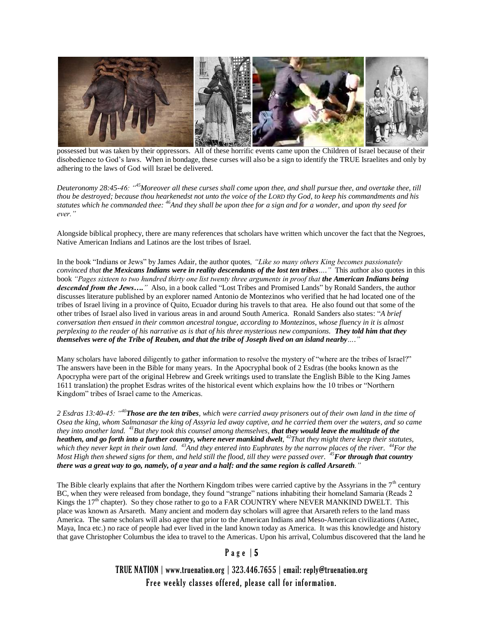

possessed but was taken by their oppressors. All of these horrific events came upon the Children of Israel because of their disobedience to God's laws. When in bondage, these curses will also be a sign to identify the TRUE Israelites and only by adhering to the laws of God will Israel be delivered.

*Deuteronomy 28:45-46: "<sup>45</sup>Moreover all these curses shall come upon thee, and shall pursue thee, and overtake thee, till thou be destroyed; because thou hearkenedst not unto the voice of the LORD thy God, to keep his commandments and his statutes which he commanded thee: <sup>46</sup>And they shall be upon thee for a sign and for a wonder, and upon thy seed for ever."*

Alongside biblical prophecy, there are many references that scholars have written which uncover the fact that the Negroes, Native American Indians and Latinos are the lost tribes of Israel.

In the book "Indians or Jews" by James Adair, the author quotes*, "Like so many others King becomes passionately convinced that the Mexicans Indians were in reality descendants of the lost ten tribes…."* This author also quotes in this book *"Pages sixteen to two hundred thirty one list twenty three arguments in proof that the American Indians being descended from the Jews…."* Also, in a book called "Lost Tribes and Promised Lands" by Ronald Sanders, the author discusses literature published by an explorer named Antonio de Montezinos who verified that he had located one of the tribes of Israel living in a province of Quito, Ecuador during his travels to that area. He also found out that some of the other tribes of Israel also lived in various areas in and around South America. Ronald Sanders also states: "*A brief conversation then ensued in their common ancestral tongue, according to Montezinos, whose fluency in it is almost perplexing to the reader of his narrative as is that of his three mysterious new companions. They told him that they themselves were of the Tribe of Reuben, and that the tribe of Joseph lived on an island nearby…."*

Many scholars have labored diligently to gather information to resolve the mystery of "where are the tribes of Israel?" The answers have been in the Bible for many years. In the Apocryphal book of 2 Esdras (the books known as the Apocrypha were part of the original Hebrew and Greek writings used to translate the English Bible to the King James 1611 translation) the prophet Esdras writes of the historical event which explains how the 10 tribes or "Northern Kingdom" tribes of Israel came to the Americas.

*2 Esdras 13:40-45: "<sup>40</sup>Those are the ten tribes, which were carried away prisoners out of their own land in the time of Osea the king, whom Salmanasar the king of Assyria led away captive, and he carried them over the waters, and so came they into another land. <sup>41</sup>But they took this counsel among themselves, that they would leave the multitude of the*  **heathen, and go forth into a further country, where never mankind dwelt**, <sup>42</sup>*That they might there keep their statutes, which they never kept in their own land. <sup>43</sup>And they entered into Euphrates by the narrow places of the river. <sup>44</sup>For the Most High then shewed signs for them, and held still the flood, till they were passed over.* <sup>45</sup>*For through that country there was a great way to go, namely, of a year and a half: and the same region is called Arsareth."*

The Bible clearly explains that after the Northern Kingdom tribes were carried captive by the Assyrians in the  $7<sup>th</sup>$  century BC, when they were released from bondage, they found "strange" nations inhabiting their homeland Samaria (Reads 2 Kings the  $17<sup>th</sup>$  chapter). So they chose rather to go to a FAR COUNTRY where NEVER MANKIND DWELT. This place was known as Arsareth. Many ancient and modern day scholars will agree that Arsareth refers to the land mass America. The same scholars will also agree that prior to the American Indians and Meso-American civilizations (Aztec, Maya, Inca etc.) no race of people had ever lived in the land known today as America. It was this knowledge and history that gave Christopher Columbus the idea to travel to the Americas. Upon his arrival, Columbus discovered that the land he

### P a g e | 5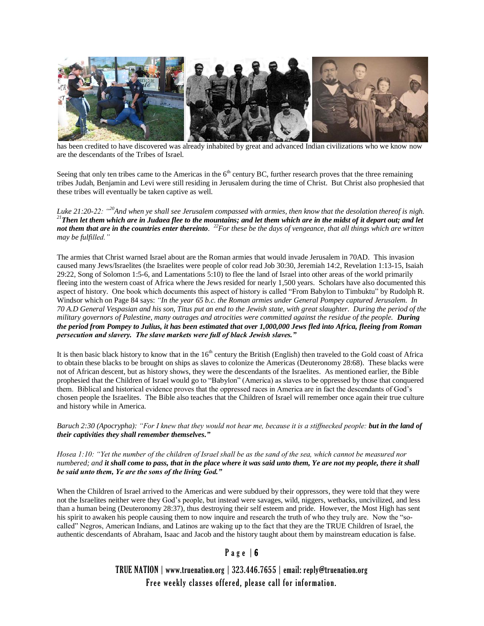

has been credited to have discovered was already inhabited by great and advanced Indian civilizations who we know now are the descendants of the Tribes of Israel.

Seeing that only ten tribes came to the Americas in the  $6<sup>th</sup>$  century BC, further research proves that the three remaining tribes Judah, Benjamin and Levi were still residing in Jerusalem during the time of Christ. But Christ also prophesied that these tribes will eventually be taken captive as well.

*Luke 21:20-22: "<sup>20</sup>And when ye shall see Jerusalem compassed with armies, then know that the desolation thereof is nigh. <sup>21</sup>Then let them which are in Judaea flee to the mountains; and let them which are in the midst of it depart out; and let*  **not them that are in the countries enter thereinto.** <sup>22</sup>*For these be the days of vengeance, that all things which are written may be fulfilled."*

The armies that Christ warned Israel about are the Roman armies that would invade Jerusalem in 70AD. This invasion caused many Jews/Israelites (the Israelites were people of color read Job 30:30, Jeremiah 14:2, Revelation 1:13-15, Isaiah 29:22, Song of Solomon 1:5-6, and Lamentations 5:10) to flee the land of Israel into other areas of the world primarily fleeing into the western coast of Africa where the Jews resided for nearly 1,500 years. Scholars have also documented this aspect of history. One book which documents this aspect of history is called "From Babylon to Timbuktu" by Rudolph R. Windsor which on Page 84 says: *"In the year 65 b.c. the Roman armies under General Pompey captured Jerusalem. In 70 A.D General Vespasian and his son, Titus put an end to the Jewish state, with great slaughter. During the period of the military governors of Palestine, many outrages and atrocities were committed against the residue of the people. During the period from Pompey to Julius, it has been estimated that over 1,000,000 Jews fled into Africa, fleeing from Roman persecution and slavery. The slave markets were full of black Jewish slaves."*

It is then basic black history to know that in the  $16<sup>th</sup>$  century the British (English) then traveled to the Gold coast of Africa to obtain these blacks to be brought on ships as slaves to colonize the Americas (Deuteronomy 28:68). These blacks were not of African descent, but as history shows, they were the descendants of the Israelites. As mentioned earlier, the Bible prophesied that the Children of Israel would go to "Babylon" (America) as slaves to be oppressed by those that conquered them. Biblical and historical evidence proves that the oppressed races in America are in fact the descendants of God's chosen people the Israelites. The Bible also teaches that the Children of Israel will remember once again their true culture and history while in America.

*Baruch 2:30 (Apocrypha): "For I knew that they would not hear me, because it is a stiffnecked people: but in the land of their captivities they shall remember themselves."*

*Hosea 1:10: "Yet the number of the children of Israel shall be as the sand of the sea, which cannot be measured nor numbered; and it shall come to pass, that in the place where it was said unto them, Ye are not my people, there it shall be said unto them, Ye are the sons of the living God."*

When the Children of Israel arrived to the Americas and were subdued by their oppressors, they were told that they were not the Israelites neither were they God's people, but instead were savages, wild, niggers, wetbacks, uncivilized, and less than a human being (Deuteronomy 28:37), thus destroying their self esteem and pride. However, the Most High has sent his spirit to awaken his people causing them to now inquire and research the truth of who they truly are. Now the "socalled" Negros, American Indians, and Latinos are waking up to the fact that they are the TRUE Children of Israel, the authentic descendants of Abraham, Isaac and Jacob and the history taught about them by mainstream education is false.

## Page  $| 6$